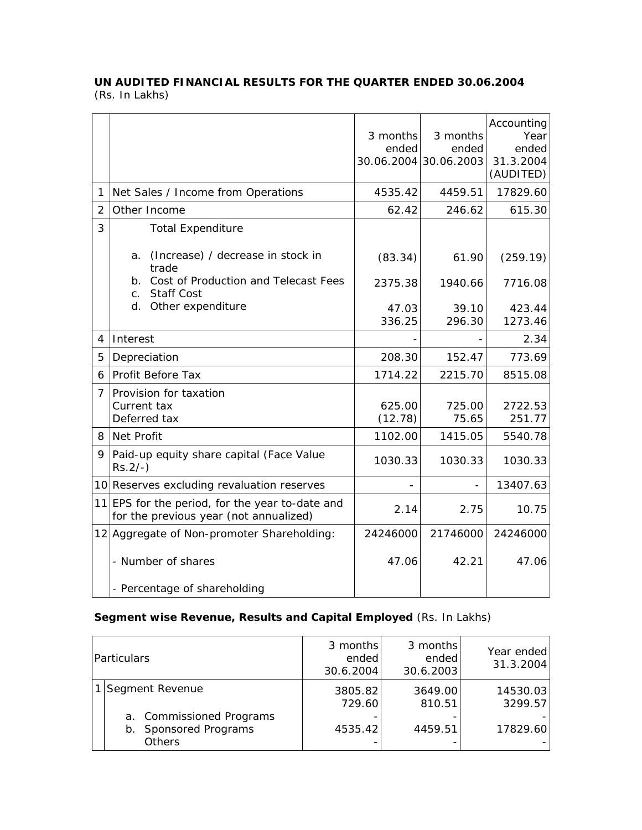## **UN AUDITED FINANCIAL RESULTS FOR THE QUARTER ENDED 30.06.2004**  (Rs. In Lakhs)

|                |                                                                                           | 3 months<br>ended | 3 months<br>ended<br>30.06.2004 30.06.2003 | Accounting<br>Year<br>ended<br>31.3.2004<br>(AUDITED) |
|----------------|-------------------------------------------------------------------------------------------|-------------------|--------------------------------------------|-------------------------------------------------------|
| 1              | Net Sales / Income from Operations                                                        | 4535.42           | 4459.51                                    | 17829.60                                              |
| 2              | Other Income                                                                              | 62.42             | 246.62                                     | 615.30                                                |
| 3              | <b>Total Expenditure</b>                                                                  |                   |                                            |                                                       |
|                | (Increase) / decrease in stock in<br>a.<br>trade                                          | (83.34)           | 61.90                                      | (259.19)                                              |
|                | Cost of Production and Telecast Fees<br>$b_{\cdot}$<br><b>Staff Cost</b><br>$C_{\cdot}$   | 2375.38           | 1940.66                                    | 7716.08                                               |
|                | d.<br>Other expenditure                                                                   | 47.03             | 39.10                                      | 423.44                                                |
|                |                                                                                           | 336.25            | 296.30                                     | 1273.46                                               |
| 4              | Interest                                                                                  |                   |                                            | 2.34                                                  |
| 5              | Depreciation                                                                              | 208.30            | 152.47                                     | 773.69                                                |
| 6              | Profit Before Tax                                                                         | 1714.22           | 2215.70                                    | 8515.08                                               |
| $\overline{7}$ | Provision for taxation<br>Current tax<br>Deferred tax                                     | 625.00<br>(12.78) | 725.00<br>75.65                            | 2722.53<br>251.77                                     |
| 8              | Net Profit                                                                                | 1102.00           | 1415.05                                    | 5540.78                                               |
| 9              | Paid-up equity share capital (Face Value<br>$Rs.2/-$ )                                    | 1030.33           | 1030.33                                    | 1030.33                                               |
|                | 10 Reserves excluding revaluation reserves                                                |                   |                                            | 13407.63                                              |
|                | 11 EPS for the period, for the year to-date and<br>for the previous year (not annualized) | 2.14              | 2.75                                       | 10.75                                                 |
|                | 12 Aggregate of Non-promoter Shareholding:                                                | 24246000          | 21746000                                   | 24246000                                              |
|                | - Number of shares                                                                        | 47.06             | 42.21                                      | 47.06                                                 |
|                | - Percentage of shareholding                                                              |                   |                                            |                                                       |

## **Segment wise Revenue, Results and Capital Employed** (Rs. In Lakhs)

| Particulars                                                           | 3 months<br>ended<br>30.6.2004 | 3 months<br>ended<br>30.6.2003 | Year ended<br>31.3.2004 |
|-----------------------------------------------------------------------|--------------------------------|--------------------------------|-------------------------|
| Segment Revenue                                                       | 3805.82<br>729.60              | 3649.00<br>810.51              | 14530.03<br>3299.57     |
| a. Commissioned Programs<br>Sponsored Programs<br>b.<br><b>Others</b> | 4535.42                        | 4459.51                        | 17829.60                |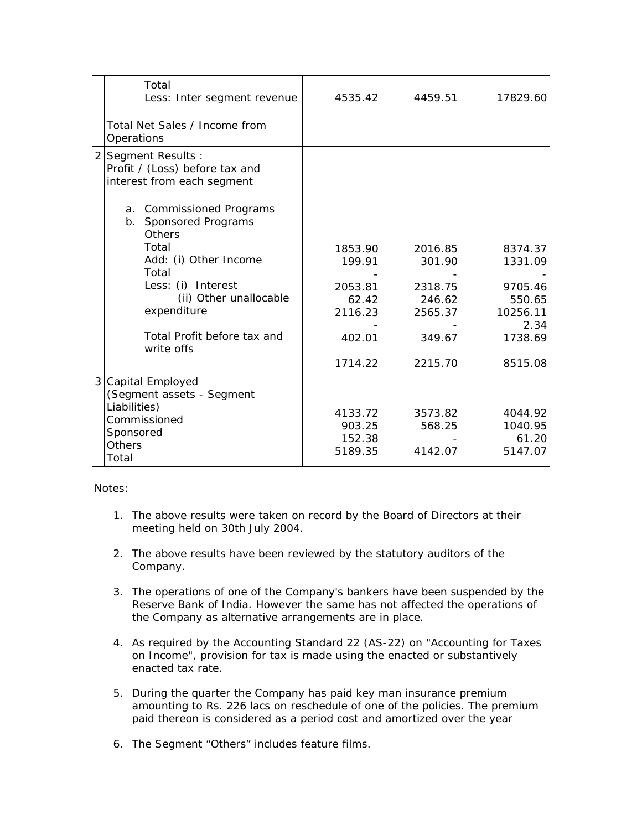|                | Total<br>Less: Inter segment revenue                                             | 4535.42                                | 4459.51                      | 17829.60                               |
|----------------|----------------------------------------------------------------------------------|----------------------------------------|------------------------------|----------------------------------------|
|                | Total Net Sales / Income from<br>Operations                                      |                                        |                              |                                        |
| $\overline{2}$ | Segment Results:<br>Profit / (Loss) before tax and<br>interest from each segment |                                        |                              |                                        |
|                | a. Commissioned Programs<br>b. Sponsored Programs<br>Others                      |                                        |                              |                                        |
|                | Total<br>Add: (i) Other Income<br>Total                                          | 1853.90<br>199.91                      | 2016.85<br>301.90            | 8374.37<br>1331.09                     |
|                | Less: (i) Interest<br>(ii) Other unallocable<br>expenditure                      | 2053.81<br>62.42<br>2116.23            | 2318.75<br>246.62<br>2565.37 | 9705.46<br>550.65<br>10256.11<br>2.34  |
|                | Total Profit before tax and<br>write offs                                        | 402.01                                 | 349.67                       | 1738.69                                |
|                |                                                                                  | 1714.22                                | 2215.70                      | 8515.08                                |
| 3              | Capital Employed<br>(Segment assets - Segment                                    |                                        |                              |                                        |
|                | Liabilities)<br>Commissioned<br>Sponsored<br><b>Others</b><br>Total              | 4133.72<br>903.25<br>152.38<br>5189.35 | 3573.82<br>568.25<br>4142.07 | 4044.92<br>1040.95<br>61.20<br>5147.07 |

Notes:

- 1. The above results were taken on record by the Board of Directors at their meeting held on 30th July 2004.
- 2. The above results have been reviewed by the statutory auditors of the Company.
- 3. The operations of one of the Company's bankers have been suspended by the Reserve Bank of India. However the same has not affected the operations of the Company as alternative arrangements are in place.
- 4. As required by the Accounting Standard 22 (AS-22) on "Accounting for Taxes on Income", provision for tax is made using the enacted or substantively enacted tax rate.
- 5. During the quarter the Company has paid key man insurance premium amounting to Rs. 226 lacs on reschedule of one of the policies. The premium paid thereon is considered as a period cost and amortized over the year
- 6. The Segment "Others" includes feature films.